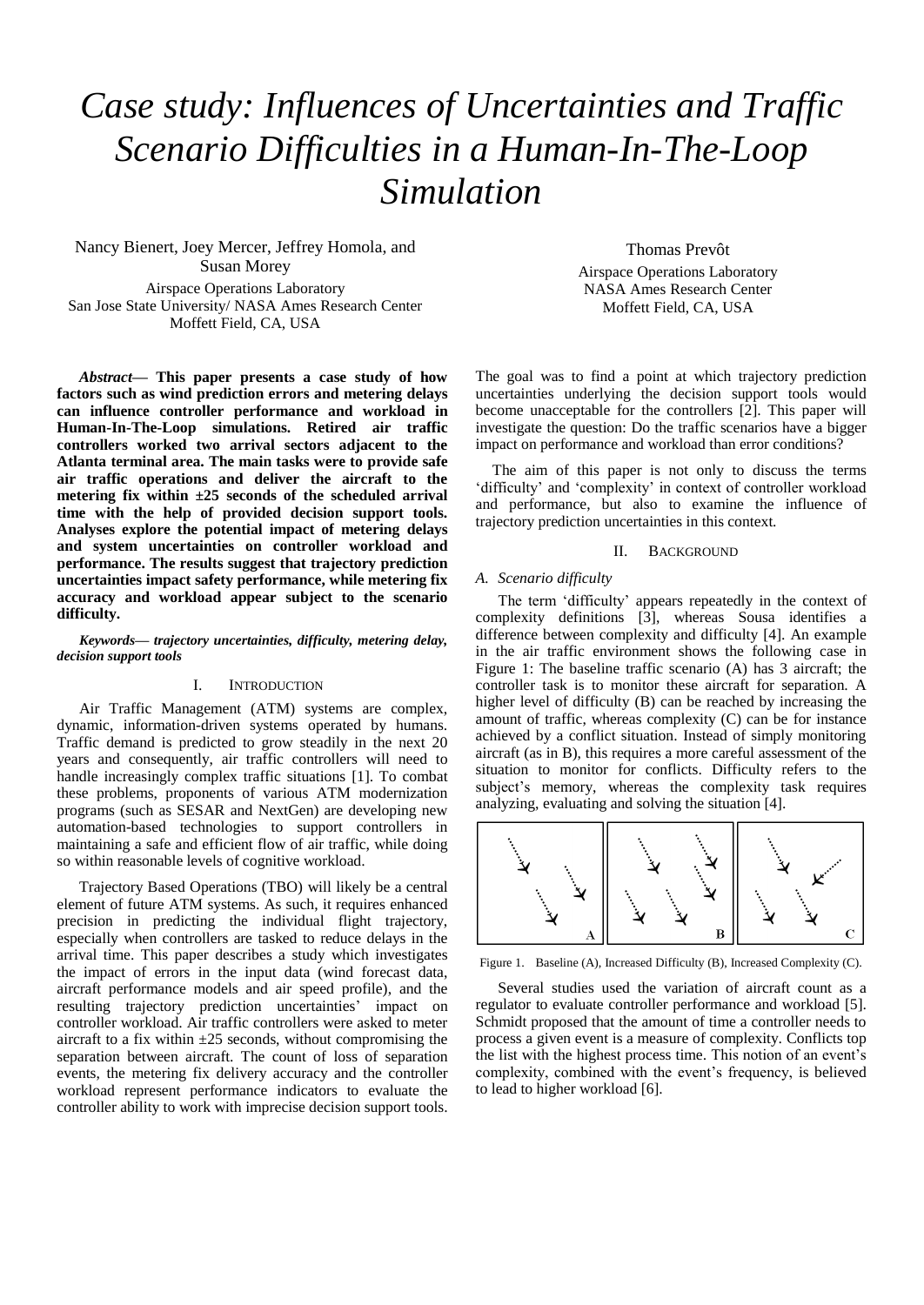# *Case study: Influences of Uncertainties and Traffic Scenario Difficulties in a Human-In-The-Loop Simulation*

Nancy Bienert, Joey Mercer, Jeffrey Homola, and Susan Morey Airspace Operations Laboratory San Jose State University/ NASA Ames Research Center Moffett Field, CA, USA

*Abstract***— This paper presents a case study of how factors such as wind prediction errors and metering delays can influence controller performance and workload in Human-In-The-Loop simulations. Retired air traffic controllers worked two arrival sectors adjacent to the Atlanta terminal area. The main tasks were to provide safe air traffic operations and deliver the aircraft to the metering fix within ±25 seconds of the scheduled arrival time with the help of provided decision support tools. Analyses explore the potential impact of metering delays and system uncertainties on controller workload and performance. The results suggest that trajectory prediction uncertainties impact safety performance, while metering fix accuracy and workload appear subject to the scenario difficulty.**

*Keywords— trajectory uncertainties, difficulty, metering delay, decision support tools*

## I. INTRODUCTION

Air Traffic Management (ATM) systems are complex, dynamic, information-driven systems operated by humans. Traffic demand is predicted to grow steadily in the next 20 years and consequently, air traffic controllers will need to handle increasingly complex traffic situations [1]. To combat these problems, proponents of various ATM modernization programs (such as SESAR and NextGen) are developing new automation-based technologies to support controllers in maintaining a safe and efficient flow of air traffic, while doing so within reasonable levels of cognitive workload.

Trajectory Based Operations (TBO) will likely be a central element of future ATM systems. As such, it requires enhanced precision in predicting the individual flight trajectory, especially when controllers are tasked to reduce delays in the arrival time. This paper describes a study which investigates the impact of errors in the input data (wind forecast data, aircraft performance models and air speed profile), and the resulting trajectory prediction uncertainties' impact on controller workload. Air traffic controllers were asked to meter aircraft to a fix within  $\pm 25$  seconds, without compromising the separation between aircraft. The count of loss of separation events, the metering fix delivery accuracy and the controller workload represent performance indicators to evaluate the controller ability to work with imprecise decision support tools.

Thomas Prevôt Airspace Operations Laboratory NASA Ames Research Center Moffett Field, CA, USA

The goal was to find a point at which trajectory prediction uncertainties underlying the decision support tools would become unacceptable for the controllers [2]. This paper will investigate the question: Do the traffic scenarios have a bigger impact on performance and workload than error conditions?

The aim of this paper is not only to discuss the terms 'difficulty' and 'complexity' in context of controller workload and performance, but also to examine the influence of trajectory prediction uncertainties in this context.

## II. BACKGROUND

## *A. Scenario difficulty*

The term 'difficulty' appears repeatedly in the context of complexity definitions [3], whereas Sousa identifies a difference between complexity and difficulty [4]. An example in the air traffic environment shows the following case in Figure 1: The baseline traffic scenario (A) has 3 aircraft; the controller task is to monitor these aircraft for separation. A higher level of difficulty (B) can be reached by increasing the amount of traffic, whereas complexity (C) can be for instance achieved by a conflict situation. Instead of simply monitoring aircraft (as in B), this requires a more careful assessment of the situation to monitor for conflicts. Difficulty refers to the subject's memory, whereas the complexity task requires analyzing, evaluating and solving the situation [4].



Figure 1. Baseline (A), Increased Difficulty (B), Increased Complexity (C).

Several studies used the variation of aircraft count as a regulator to evaluate controller performance and workload [5]. Schmidt proposed that the amount of time a controller needs to process a given event is a measure of complexity. Conflicts top the list with the highest process time. This notion of an event's complexity, combined with the event's frequency, is believed to lead to higher workload [6].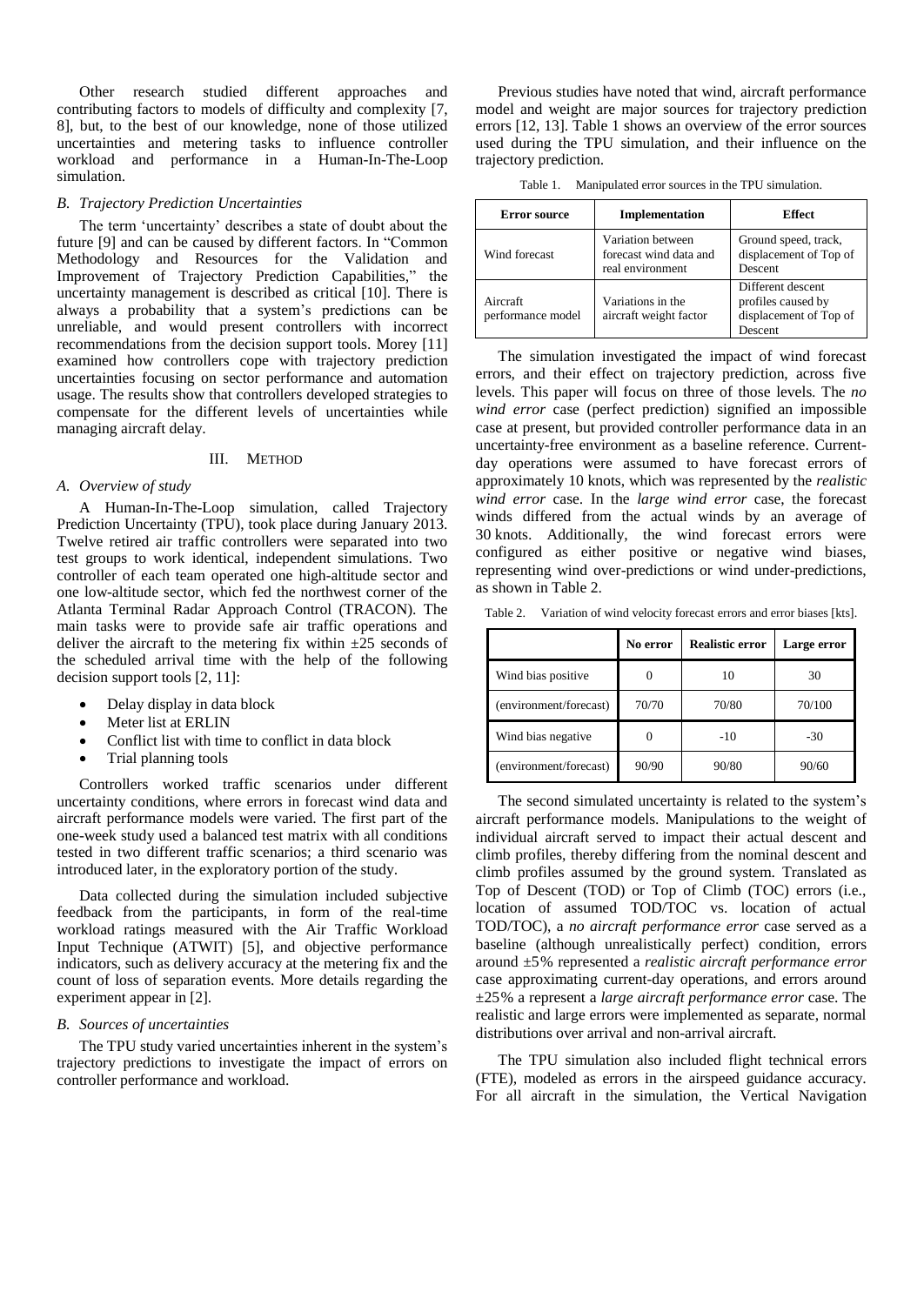Other research studied different approaches and contributing factors to models of difficulty and complexity [7, 8], but, to the best of our knowledge, none of those utilized uncertainties and metering tasks to influence controller workload and performance in a Human-In-The-Loop simulation.

#### *B. Trajectory Prediction Uncertainties*

The term 'uncertainty' describes a state of doubt about the future [9] and can be caused by different factors. In "Common Methodology and Resources for the Validation and Improvement of Trajectory Prediction Capabilities," the uncertainty management is described as critical [10]. There is always a probability that a system's predictions can be unreliable, and would present controllers with incorrect recommendations from the decision support tools. Morey [11] examined how controllers cope with trajectory prediction uncertainties focusing on sector performance and automation usage. The results show that controllers developed strategies to compensate for the different levels of uncertainties while managing aircraft delay.

## III. METHOD

## *A. Overview of study*

A Human-In-The-Loop simulation, called Trajectory Prediction Uncertainty (TPU), took place during January 2013. Twelve retired air traffic controllers were separated into two test groups to work identical, independent simulations. Two controller of each team operated one high-altitude sector and one low-altitude sector, which fed the northwest corner of the Atlanta Terminal Radar Approach Control (TRACON). The main tasks were to provide safe air traffic operations and deliver the aircraft to the metering fix within  $\pm 25$  seconds of the scheduled arrival time with the help of the following decision support tools [2, 11]:

- Delay display in data block
- Meter list at ERLIN
- Conflict list with time to conflict in data block
- Trial planning tools

Controllers worked traffic scenarios under different uncertainty conditions, where errors in forecast wind data and aircraft performance models were varied. The first part of the one-week study used a balanced test matrix with all conditions tested in two different traffic scenarios; a third scenario was introduced later, in the exploratory portion of the study.

Data collected during the simulation included subjective feedback from the participants, in form of the real-time workload ratings measured with the Air Traffic Workload Input Technique (ATWIT) [5], and objective performance indicators, such as delivery accuracy at the metering fix and the count of loss of separation events. More details regarding the experiment appear in [2].

#### *B. Sources of uncertainties*

The TPU study varied uncertainties inherent in the system's trajectory predictions to investigate the impact of errors on controller performance and workload.

Previous studies have noted that wind, aircraft performance model and weight are major sources for trajectory prediction errors [12, 13]. Table 1 shows an overview of the error sources used during the TPU simulation, and their influence on the trajectory prediction.

| Manipulated error sources in the TPU simulation.<br>Table 1. |  |
|--------------------------------------------------------------|--|
|--------------------------------------------------------------|--|

| <b>Error source</b>           | Implementation                                                  | Effect                                                                       |
|-------------------------------|-----------------------------------------------------------------|------------------------------------------------------------------------------|
| Wind forecast                 | Variation between<br>forecast wind data and<br>real environment | Ground speed, track,<br>displacement of Top of<br>Descent                    |
| Aircraft<br>performance model | Variations in the<br>aircraft weight factor                     | Different descent<br>profiles caused by<br>displacement of Top of<br>Descent |

The simulation investigated the impact of wind forecast errors, and their effect on trajectory prediction, across five levels. This paper will focus on three of those levels. The *no wind error* case (perfect prediction) signified an impossible case at present, but provided controller performance data in an uncertainty-free environment as a baseline reference. Currentday operations were assumed to have forecast errors of approximately 10 knots, which was represented by the *realistic wind error* case. In the *large wind error* case, the forecast winds differed from the actual winds by an average of 30 knots. Additionally, the wind forecast errors were configured as either positive or negative wind biases, representing wind over-predictions or wind under-predictions, as shown in Table 2.

Table 2. Variation of wind velocity forecast errors and error biases [kts].

|                        | No error | <b>Realistic error</b> | Large error |
|------------------------|----------|------------------------|-------------|
| Wind bias positive     |          | 10                     | 30          |
| (environment/forecast) | 70/70    | 70/80                  | 70/100      |
| Wind bias negative     |          | $-10$                  | $-30$       |
| (environment/forecast) | 90/90    | 90/80                  | 90/60       |

The second simulated uncertainty is related to the system's aircraft performance models. Manipulations to the weight of individual aircraft served to impact their actual descent and climb profiles, thereby differing from the nominal descent and climb profiles assumed by the ground system. Translated as Top of Descent (TOD) or Top of Climb (TOC) errors (i.e., location of assumed TOD/TOC vs. location of actual TOD/TOC), a *no aircraft performance error* case served as a baseline (although unrealistically perfect) condition, errors around ±5% represented a *realistic aircraft performance error* case approximating current-day operations, and errors around ±25% a represent a *large aircraft performance error* case. The realistic and large errors were implemented as separate, normal distributions over arrival and non-arrival aircraft.

The TPU simulation also included flight technical errors (FTE), modeled as errors in the airspeed guidance accuracy. For all aircraft in the simulation, the Vertical Navigation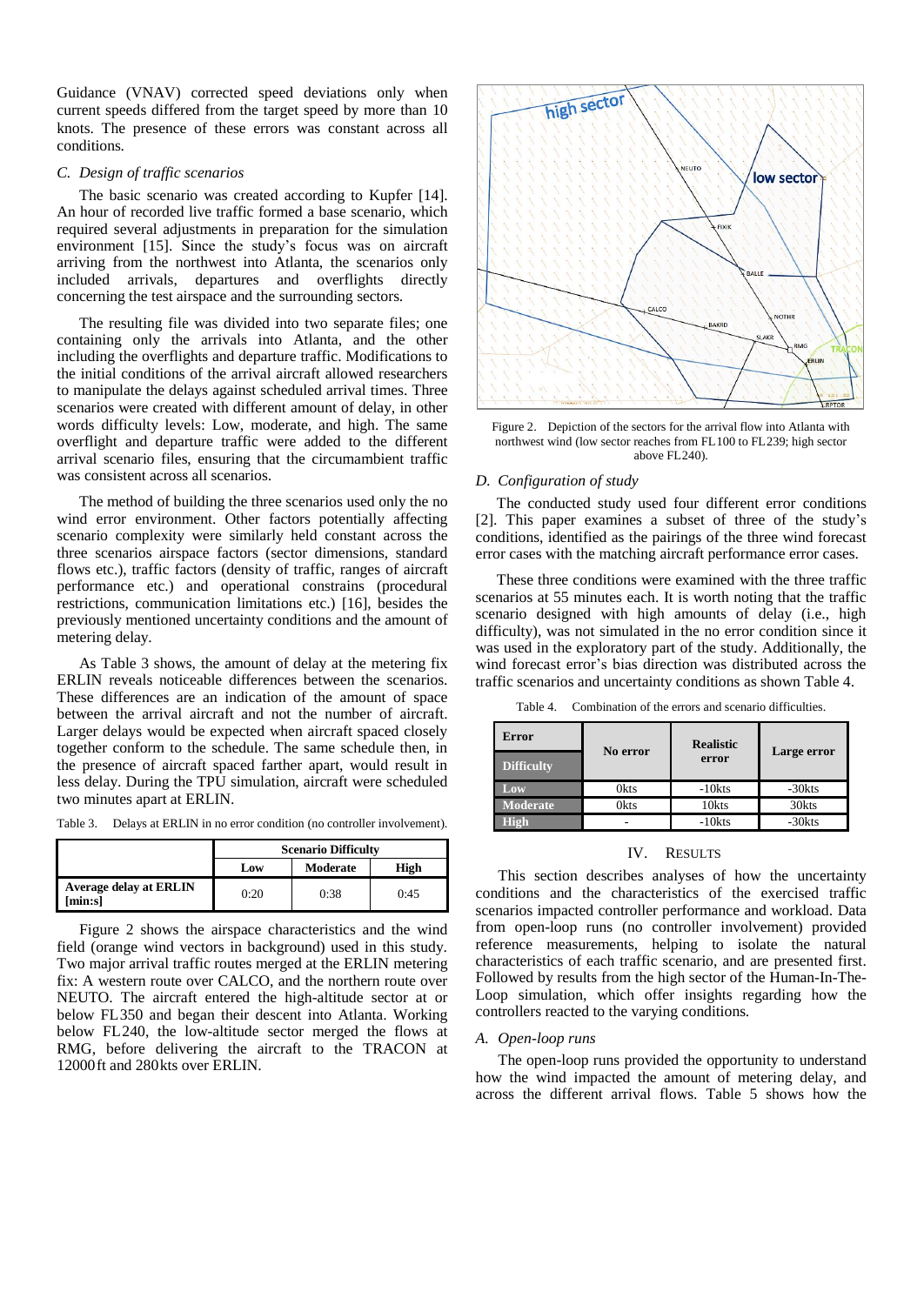Guidance (VNAV) corrected speed deviations only when current speeds differed from the target speed by more than 10 knots. The presence of these errors was constant across all conditions.

## *C. Design of traffic scenarios*

The basic scenario was created according to Kupfer [14]. An hour of recorded live traffic formed a base scenario, which required several adjustments in preparation for the simulation environment [15]. Since the study's focus was on aircraft arriving from the northwest into Atlanta, the scenarios only included arrivals, departures and overflights directly concerning the test airspace and the surrounding sectors.

The resulting file was divided into two separate files; one containing only the arrivals into Atlanta, and the other including the overflights and departure traffic. Modifications to the initial conditions of the arrival aircraft allowed researchers to manipulate the delays against scheduled arrival times. Three scenarios were created with different amount of delay, in other words difficulty levels: Low, moderate, and high. The same overflight and departure traffic were added to the different arrival scenario files, ensuring that the circumambient traffic was consistent across all scenarios.

The method of building the three scenarios used only the no wind error environment. Other factors potentially affecting scenario complexity were similarly held constant across the three scenarios airspace factors (sector dimensions, standard flows etc.), traffic factors (density of traffic, ranges of aircraft performance etc.) and operational constrains (procedural restrictions, communication limitations etc.) [16], besides the previously mentioned uncertainty conditions and the amount of metering delay.

As Table 3 shows, the amount of delay at the metering fix ERLIN reveals noticeable differences between the scenarios. These differences are an indication of the amount of space between the arrival aircraft and not the number of aircraft. Larger delays would be expected when aircraft spaced closely together conform to the schedule. The same schedule then, in the presence of aircraft spaced farther apart, would result in less delay. During the TPU simulation, aircraft were scheduled two minutes apart at ERLIN.

Table 3. Delays at ERLIN in no error condition (no controller involvement).

|                                         | <b>Scenario Difficulty</b> |          |      |
|-----------------------------------------|----------------------------|----------|------|
|                                         | Low                        | Moderate | High |
| <b>Average delay at ERLIN</b><br>min:s] | 0:20                       | 0:38     | 0:45 |

Figure 2 shows the airspace characteristics and the wind field (orange wind vectors in background) used in this study. Two major arrival traffic routes merged at the ERLIN metering fix: A western route over CALCO, and the northern route over NEUTO. The aircraft entered the high-altitude sector at or below FL350 and began their descent into Atlanta. Working below FL240, the low-altitude sector merged the flows at RMG, before delivering the aircraft to the TRACON at 12000ft and 280kts over ERLIN.



Figure 2. Depiction of the sectors for the arrival flow into Atlanta with northwest wind (low sector reaches from FL100 to FL239; high sector above FL240).

### *D. Configuration of study*

The conducted study used four different error conditions [2]. This paper examines a subset of three of the study's conditions, identified as the pairings of the three wind forecast error cases with the matching aircraft performance error cases.

These three conditions were examined with the three traffic scenarios at 55 minutes each. It is worth noting that the traffic scenario designed with high amounts of delay (i.e., high difficulty), was not simulated in the no error condition since it was used in the exploratory part of the study. Additionally, the wind forecast error's bias direction was distributed across the traffic scenarios and uncertainty conditions as shown Table 4.

| Table 4. |  |  | Combination of the errors and scenario difficulties. |
|----------|--|--|------------------------------------------------------|
|----------|--|--|------------------------------------------------------|

| Error             | No error    | <b>Realistic</b> |             |  |
|-------------------|-------------|------------------|-------------|--|
| <b>Difficulty</b> |             | error            | Large error |  |
| Low               | <b>Okts</b> | $-10$ kts        | $-30$ kts   |  |
| <b>Moderate</b>   | <b>Okts</b> | 10kts            | 30kts       |  |
|                   |             | $-10$ kts        | $-30$ kts   |  |

#### IV. RESULTS

This section describes analyses of how the uncertainty conditions and the characteristics of the exercised traffic scenarios impacted controller performance and workload. Data from open-loop runs (no controller involvement) provided reference measurements, helping to isolate the natural characteristics of each traffic scenario, and are presented first. Followed by results from the high sector of the Human-In-The-Loop simulation, which offer insights regarding how the controllers reacted to the varying conditions.

#### *A. Open-loop runs*

The open-loop runs provided the opportunity to understand how the wind impacted the amount of metering delay, and across the different arrival flows. Table 5 shows how the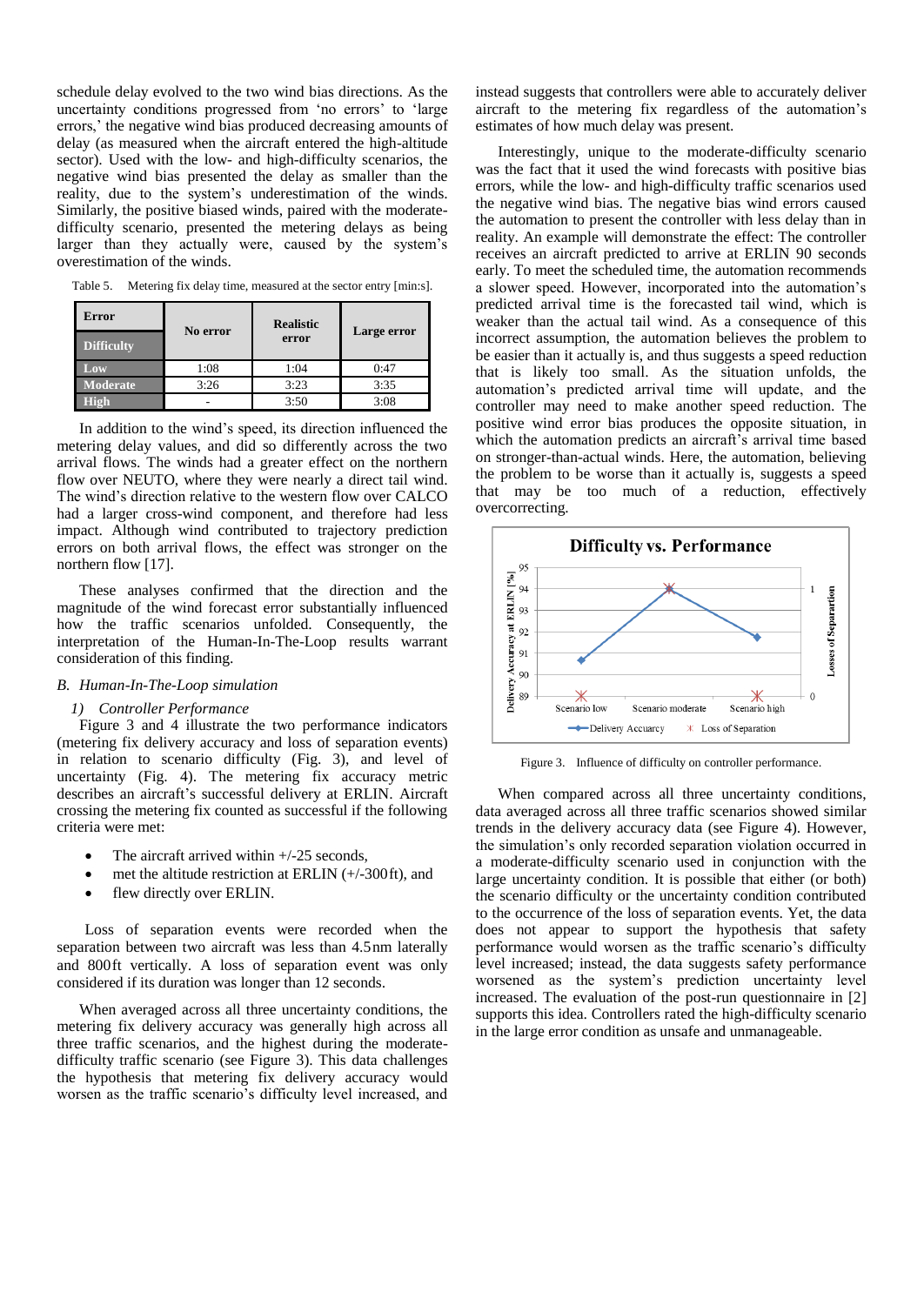schedule delay evolved to the two wind bias directions. As the uncertainty conditions progressed from 'no errors' to 'large errors,' the negative wind bias produced decreasing amounts of delay (as measured when the aircraft entered the high-altitude sector). Used with the low- and high-difficulty scenarios, the negative wind bias presented the delay as smaller than the reality, due to the system's underestimation of the winds. Similarly, the positive biased winds, paired with the moderatedifficulty scenario, presented the metering delays as being larger than they actually were, caused by the system's overestimation of the winds.

| Error             | No error | <b>Realistic</b> |             |  |
|-------------------|----------|------------------|-------------|--|
| <b>Difficulty</b> |          | error            | Large error |  |
| Low               | 1:08     | 1:04             | 0:47        |  |
| <b>Moderate</b>   | 3:26     | 3:23             | 3:35        |  |
|                   |          | 3:50             | 3:08        |  |

Table 5. Metering fix delay time, measured at the sector entry [min:s].

In addition to the wind's speed, its direction influenced the metering delay values, and did so differently across the two arrival flows. The winds had a greater effect on the northern flow over NEUTO, where they were nearly a direct tail wind. The wind's direction relative to the western flow over CALCO had a larger cross-wind component, and therefore had less impact. Although wind contributed to trajectory prediction errors on both arrival flows, the effect was stronger on the northern flow [17].

These analyses confirmed that the direction and the magnitude of the wind forecast error substantially influenced how the traffic scenarios unfolded. Consequently, the interpretation of the Human-In-The-Loop results warrant consideration of this finding.

## *B. Human-In-The-Loop simulation*

#### *1) Controller Performance*

Figure 3 and 4 illustrate the two performance indicators (metering fix delivery accuracy and loss of separation events) in relation to scenario difficulty (Fig. 3), and level of uncertainty (Fig. 4). The metering fix accuracy metric describes an aircraft's successful delivery at ERLIN. Aircraft crossing the metering fix counted as successful if the following criteria were met:

- The aircraft arrived within  $+/-25$  seconds,
- met the altitude restriction at ERLIN (+/-300ft), and
- flew directly over ERLIN.

Loss of separation events were recorded when the separation between two aircraft was less than 4.5nm laterally and 800ft vertically. A loss of separation event was only considered if its duration was longer than 12 seconds.

When averaged across all three uncertainty conditions, the metering fix delivery accuracy was generally high across all three traffic scenarios, and the highest during the moderatedifficulty traffic scenario (see Figure 3). This data challenges the hypothesis that metering fix delivery accuracy would worsen as the traffic scenario's difficulty level increased, and instead suggests that controllers were able to accurately deliver aircraft to the metering fix regardless of the automation's estimates of how much delay was present.

Interestingly, unique to the moderate-difficulty scenario was the fact that it used the wind forecasts with positive bias errors, while the low- and high-difficulty traffic scenarios used the negative wind bias. The negative bias wind errors caused the automation to present the controller with less delay than in reality. An example will demonstrate the effect: The controller receives an aircraft predicted to arrive at ERLIN 90 seconds early. To meet the scheduled time, the automation recommends a slower speed. However, incorporated into the automation's predicted arrival time is the forecasted tail wind, which is weaker than the actual tail wind. As a consequence of this incorrect assumption, the automation believes the problem to be easier than it actually is, and thus suggests a speed reduction that is likely too small. As the situation unfolds, the automation's predicted arrival time will update, and the controller may need to make another speed reduction. The positive wind error bias produces the opposite situation, in which the automation predicts an aircraft's arrival time based on stronger-than-actual winds. Here, the automation, believing the problem to be worse than it actually is, suggests a speed that may be too much of a reduction, effectively overcorrecting.



Figure 3. Influence of difficulty on controller performance.

When compared across all three uncertainty conditions, data averaged across all three traffic scenarios showed similar trends in the delivery accuracy data (see Figure 4). However, the simulation's only recorded separation violation occurred in a moderate-difficulty scenario used in conjunction with the large uncertainty condition. It is possible that either (or both) the scenario difficulty or the uncertainty condition contributed to the occurrence of the loss of separation events. Yet, the data does not appear to support the hypothesis that safety performance would worsen as the traffic scenario's difficulty level increased; instead, the data suggests safety performance worsened as the system's prediction uncertainty level increased. The evaluation of the post-run questionnaire in [2] supports this idea. Controllers rated the high-difficulty scenario in the large error condition as unsafe and unmanageable.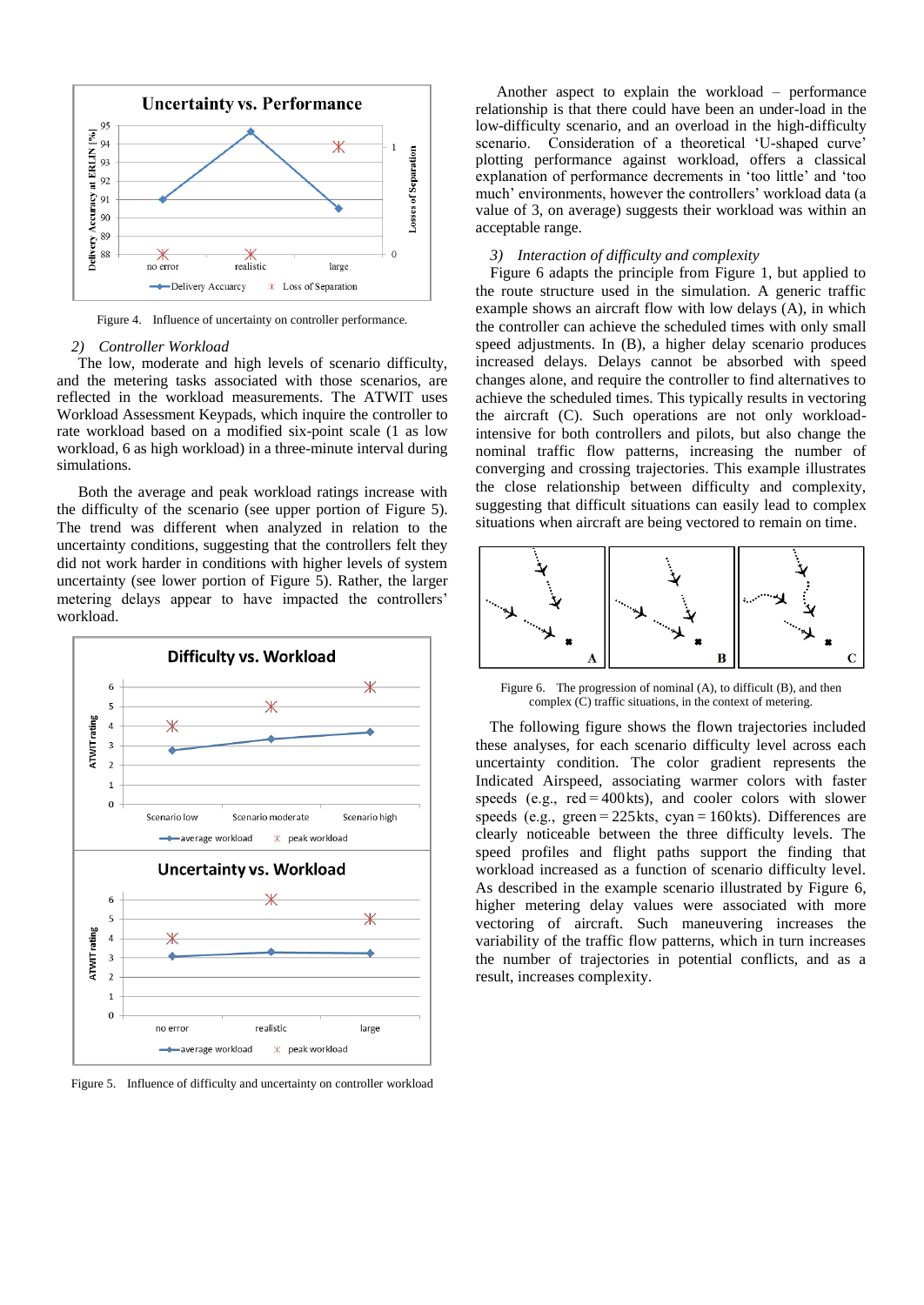

Figure 4. Influence of uncertainty on controller performance.

#### *2) Controller Workload*

The low, moderate and high levels of scenario difficulty, and the metering tasks associated with those scenarios, are reflected in the workload measurements. The ATWIT uses Workload Assessment Keypads, which inquire the controller to rate workload based on a modified six-point scale (1 as low workload, 6 as high workload) in a three-minute interval during simulations.

Both the average and peak workload ratings increase with the difficulty of the scenario (see upper portion of Figure 5). The trend was different when analyzed in relation to the uncertainty conditions, suggesting that the controllers felt they did not work harder in conditions with higher levels of system uncertainty (see lower portion of Figure 5). Rather, the larger metering delays appear to have impacted the controllers' workload.



Figure 5. Influence of difficulty and uncertainty on controller workload

Another aspect to explain the workload – performance relationship is that there could have been an under-load in the low-difficulty scenario, and an overload in the high-difficulty scenario. Consideration of a theoretical 'U-shaped curve' plotting performance against workload, offers a classical explanation of performance decrements in 'too little' and 'too much' environments, however the controllers' workload data (a value of 3, on average) suggests their workload was within an acceptable range.

## *3) Interaction of difficulty and complexity*

Figure 6 adapts the principle from Figure 1, but applied to the route structure used in the simulation. A generic traffic example shows an aircraft flow with low delays (A), in which the controller can achieve the scheduled times with only small speed adjustments. In (B), a higher delay scenario produces increased delays. Delays cannot be absorbed with speed changes alone, and require the controller to find alternatives to achieve the scheduled times. This typically results in vectoring the aircraft (C). Such operations are not only workloadintensive for both controllers and pilots, but also change the nominal traffic flow patterns, increasing the number of converging and crossing trajectories. This example illustrates the close relationship between difficulty and complexity, suggesting that difficult situations can easily lead to complex situations when aircraft are being vectored to remain on time.



Figure 6. The progression of nominal (A), to difficult (B), and then complex (C) traffic situations, in the context of metering.

The following figure shows the flown trajectories included these analyses, for each scenario difficulty level across each uncertainty condition. The color gradient represents the Indicated Airspeed, associating warmer colors with faster speeds (e.g.,  $red = 400$ kts), and cooler colors with slower speeds (e.g., green = 225 kts, cyan = 160 kts). Differences are clearly noticeable between the three difficulty levels. The speed profiles and flight paths support the finding that workload increased as a function of scenario difficulty level. As described in the example scenario illustrated by Figure 6, higher metering delay values were associated with more vectoring of aircraft. Such maneuvering increases the variability of the traffic flow patterns, which in turn increases the number of trajectories in potential conflicts, and as a result, increases complexity.